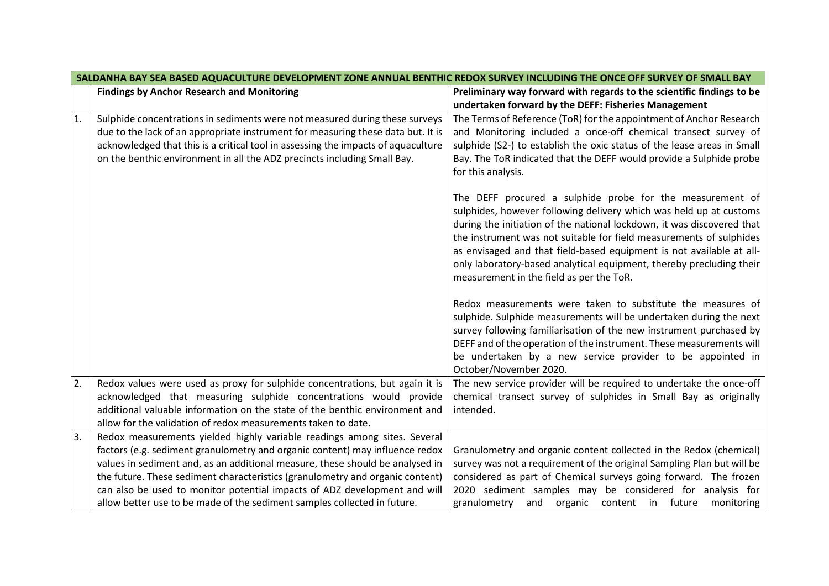| SALDANHA BAY SEA BASED AQUACULTURE DEVELOPMENT ZONE ANNUAL BENTHIC REDOX SURVEY INCLUDING THE ONCE OFF SURVEY OF SMALL BAY |                                                                                   |                                                                         |
|----------------------------------------------------------------------------------------------------------------------------|-----------------------------------------------------------------------------------|-------------------------------------------------------------------------|
|                                                                                                                            | <b>Findings by Anchor Research and Monitoring</b>                                 | Preliminary way forward with regards to the scientific findings to be   |
|                                                                                                                            |                                                                                   | undertaken forward by the DEFF: Fisheries Management                    |
| 1.                                                                                                                         | Sulphide concentrations in sediments were not measured during these surveys       | The Terms of Reference (ToR) for the appointment of Anchor Research     |
|                                                                                                                            | due to the lack of an appropriate instrument for measuring these data but. It is  | and Monitoring included a once-off chemical transect survey of          |
|                                                                                                                            | acknowledged that this is a critical tool in assessing the impacts of aquaculture | sulphide (S2-) to establish the oxic status of the lease areas in Small |
|                                                                                                                            | on the benthic environment in all the ADZ precincts including Small Bay.          | Bay. The ToR indicated that the DEFF would provide a Sulphide probe     |
|                                                                                                                            |                                                                                   | for this analysis.                                                      |
|                                                                                                                            |                                                                                   |                                                                         |
|                                                                                                                            |                                                                                   | The DEFF procured a sulphide probe for the measurement of               |
|                                                                                                                            |                                                                                   | sulphides, however following delivery which was held up at customs      |
|                                                                                                                            |                                                                                   | during the initiation of the national lockdown, it was discovered that  |
|                                                                                                                            |                                                                                   | the instrument was not suitable for field measurements of sulphides     |
|                                                                                                                            |                                                                                   | as envisaged and that field-based equipment is not available at all-    |
|                                                                                                                            |                                                                                   | only laboratory-based analytical equipment, thereby precluding their    |
|                                                                                                                            |                                                                                   | measurement in the field as per the ToR.                                |
|                                                                                                                            |                                                                                   | Redox measurements were taken to substitute the measures of             |
|                                                                                                                            |                                                                                   | sulphide. Sulphide measurements will be undertaken during the next      |
|                                                                                                                            |                                                                                   | survey following familiarisation of the new instrument purchased by     |
|                                                                                                                            |                                                                                   | DEFF and of the operation of the instrument. These measurements will    |
|                                                                                                                            |                                                                                   | be undertaken by a new service provider to be appointed in              |
|                                                                                                                            |                                                                                   | October/November 2020.                                                  |
| 2.                                                                                                                         | Redox values were used as proxy for sulphide concentrations, but again it is      | The new service provider will be required to undertake the once-off     |
|                                                                                                                            | acknowledged that measuring sulphide concentrations would provide                 | chemical transect survey of sulphides in Small Bay as originally        |
|                                                                                                                            | additional valuable information on the state of the benthic environment and       | intended.                                                               |
|                                                                                                                            | allow for the validation of redox measurements taken to date.                     |                                                                         |
| 3.                                                                                                                         | Redox measurements yielded highly variable readings among sites. Several          |                                                                         |
|                                                                                                                            | factors (e.g. sediment granulometry and organic content) may influence redox      | Granulometry and organic content collected in the Redox (chemical)      |
|                                                                                                                            | values in sediment and, as an additional measure, these should be analysed in     | survey was not a requirement of the original Sampling Plan but will be  |
|                                                                                                                            | the future. These sediment characteristics (granulometry and organic content)     | considered as part of Chemical surveys going forward. The frozen        |
|                                                                                                                            | can also be used to monitor potential impacts of ADZ development and will         | 2020 sediment samples may be considered for analysis for                |
|                                                                                                                            | allow better use to be made of the sediment samples collected in future.          | granulometry<br>and organic content in future<br>monitoring             |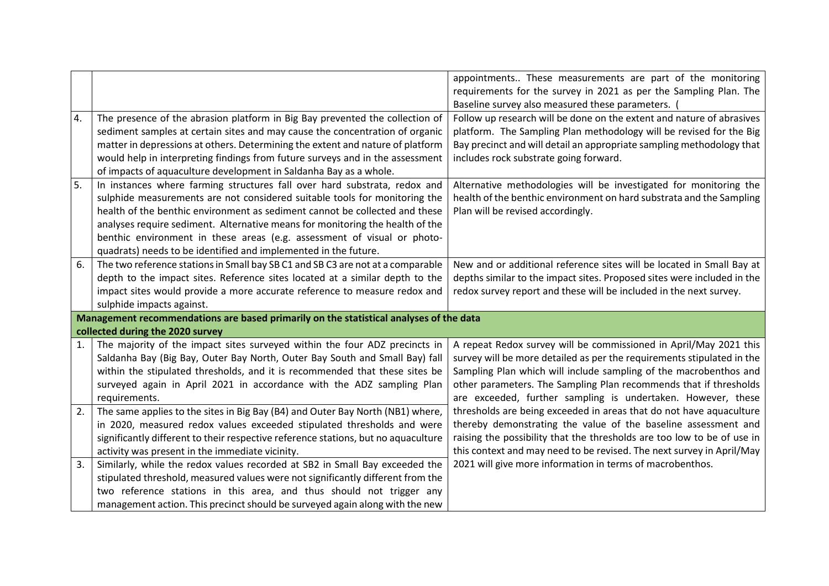|    |                                                                                        | appointments These measurements are part of the monitoring              |
|----|----------------------------------------------------------------------------------------|-------------------------------------------------------------------------|
|    |                                                                                        | requirements for the survey in 2021 as per the Sampling Plan. The       |
|    |                                                                                        | Baseline survey also measured these parameters.                         |
| 4. | The presence of the abrasion platform in Big Bay prevented the collection of           | Follow up research will be done on the extent and nature of abrasives   |
|    | sediment samples at certain sites and may cause the concentration of organic           | platform. The Sampling Plan methodology will be revised for the Big     |
|    | matter in depressions at others. Determining the extent and nature of platform         | Bay precinct and will detail an appropriate sampling methodology that   |
|    | would help in interpreting findings from future surveys and in the assessment          | includes rock substrate going forward.                                  |
|    | of impacts of aquaculture development in Saldanha Bay as a whole.                      |                                                                         |
| 5. | In instances where farming structures fall over hard substrata, redox and              | Alternative methodologies will be investigated for monitoring the       |
|    | sulphide measurements are not considered suitable tools for monitoring the             | health of the benthic environment on hard substrata and the Sampling    |
|    | health of the benthic environment as sediment cannot be collected and these            | Plan will be revised accordingly.                                       |
|    | analyses require sediment. Alternative means for monitoring the health of the          |                                                                         |
|    | benthic environment in these areas (e.g. assessment of visual or photo-                |                                                                         |
|    | quadrats) needs to be identified and implemented in the future.                        |                                                                         |
| 6. | The two reference stations in Small bay SB C1 and SB C3 are not at a comparable        | New and or additional reference sites will be located in Small Bay at   |
|    | depth to the impact sites. Reference sites located at a similar depth to the           | depths similar to the impact sites. Proposed sites were included in the |
|    | impact sites would provide a more accurate reference to measure redox and              | redox survey report and these will be included in the next survey.      |
|    | sulphide impacts against.                                                              |                                                                         |
|    | Management recommendations are based primarily on the statistical analyses of the data |                                                                         |
|    | collected during the 2020 survey                                                       |                                                                         |
| 1. | The majority of the impact sites surveyed within the four ADZ precincts in             | A repeat Redox survey will be commissioned in April/May 2021 this       |
|    | Saldanha Bay (Big Bay, Outer Bay North, Outer Bay South and Small Bay) fall            | survey will be more detailed as per the requirements stipulated in the  |
|    | within the stipulated thresholds, and it is recommended that these sites be            | Sampling Plan which will include sampling of the macrobenthos and       |
|    | surveyed again in April 2021 in accordance with the ADZ sampling Plan                  | other parameters. The Sampling Plan recommends that if thresholds       |
|    | requirements.                                                                          | are exceeded, further sampling is undertaken. However, these            |
| 2. | The same applies to the sites in Big Bay (B4) and Outer Bay North (NB1) where,         | thresholds are being exceeded in areas that do not have aquaculture     |
|    | in 2020, measured redox values exceeded stipulated thresholds and were                 | thereby demonstrating the value of the baseline assessment and          |
|    | significantly different to their respective reference stations, but no aquaculture     | raising the possibility that the thresholds are too low to be of use in |
|    | activity was present in the immediate vicinity.                                        | this context and may need to be revised. The next survey in April/May   |
| 3. | Similarly, while the redox values recorded at SB2 in Small Bay exceeded the            | 2021 will give more information in terms of macrobenthos.               |
|    | stipulated threshold, measured values were not significantly different from the        |                                                                         |
|    | two reference stations in this area, and thus should not trigger any                   |                                                                         |
|    | management action. This precinct should be surveyed again along with the new           |                                                                         |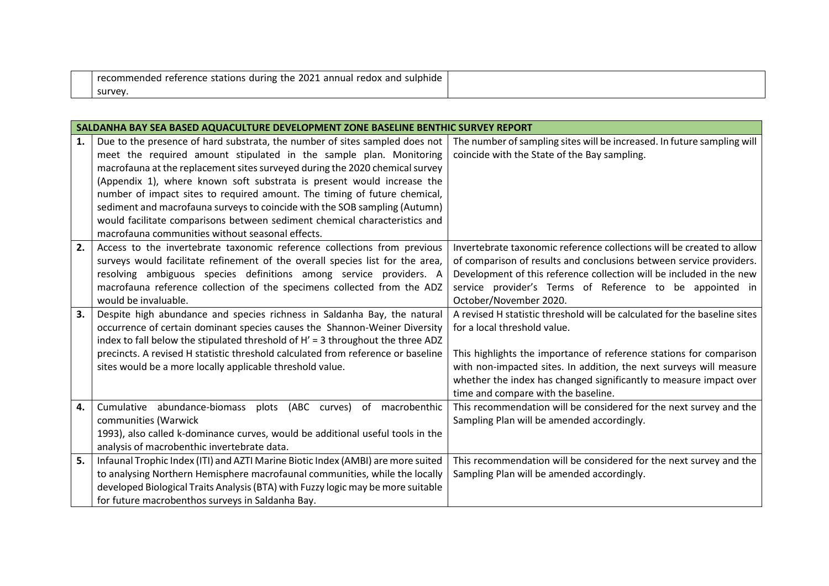| recommended reference stations during the 2021 annual it.<br>. and<br>sulphide<br>redox . |  |
|-------------------------------------------------------------------------------------------|--|
| survey                                                                                    |  |

|    | SALDANHA BAY SEA BASED AQUACULTURE DEVELOPMENT ZONE BASELINE BENTHIC SURVEY REPORT |                                                                           |  |
|----|------------------------------------------------------------------------------------|---------------------------------------------------------------------------|--|
| 1. | Due to the presence of hard substrata, the number of sites sampled does not        | The number of sampling sites will be increased. In future sampling will   |  |
|    | meet the required amount stipulated in the sample plan. Monitoring                 | coincide with the State of the Bay sampling.                              |  |
|    | macrofauna at the replacement sites surveyed during the 2020 chemical survey       |                                                                           |  |
|    | (Appendix 1), where known soft substrata is present would increase the             |                                                                           |  |
|    | number of impact sites to required amount. The timing of future chemical,          |                                                                           |  |
|    | sediment and macrofauna surveys to coincide with the SOB sampling (Autumn)         |                                                                           |  |
|    | would facilitate comparisons between sediment chemical characteristics and         |                                                                           |  |
|    | macrofauna communities without seasonal effects.                                   |                                                                           |  |
| 2. | Access to the invertebrate taxonomic reference collections from previous           | Invertebrate taxonomic reference collections will be created to allow     |  |
|    | surveys would facilitate refinement of the overall species list for the area,      | of comparison of results and conclusions between service providers.       |  |
|    | resolving ambiguous species definitions among service providers. A                 | Development of this reference collection will be included in the new      |  |
|    | macrofauna reference collection of the specimens collected from the ADZ            | service provider's Terms of Reference to be appointed in                  |  |
|    | would be invaluable.                                                               | October/November 2020.                                                    |  |
| 3. | Despite high abundance and species richness in Saldanha Bay, the natural           | A revised H statistic threshold will be calculated for the baseline sites |  |
|    | occurrence of certain dominant species causes the Shannon-Weiner Diversity         | for a local threshold value.                                              |  |
|    | index to fall below the stipulated threshold of H' = 3 throughout the three ADZ    |                                                                           |  |
|    | precincts. A revised H statistic threshold calculated from reference or baseline   | This highlights the importance of reference stations for comparison       |  |
|    | sites would be a more locally applicable threshold value.                          | with non-impacted sites. In addition, the next surveys will measure       |  |
|    |                                                                                    | whether the index has changed significantly to measure impact over        |  |
|    |                                                                                    | time and compare with the baseline.                                       |  |
| 4. | Cumulative abundance-biomass plots (ABC curves) of macrobenthic                    | This recommendation will be considered for the next survey and the        |  |
|    | communities (Warwick                                                               | Sampling Plan will be amended accordingly.                                |  |
|    | 1993), also called k-dominance curves, would be additional useful tools in the     |                                                                           |  |
|    | analysis of macrobenthic invertebrate data.                                        |                                                                           |  |
| 5. | Infaunal Trophic Index (ITI) and AZTI Marine Biotic Index (AMBI) are more suited   | This recommendation will be considered for the next survey and the        |  |
|    | to analysing Northern Hemisphere macrofaunal communities, while the locally        | Sampling Plan will be amended accordingly.                                |  |
|    | developed Biological Traits Analysis (BTA) with Fuzzy logic may be more suitable   |                                                                           |  |
|    | for future macrobenthos surveys in Saldanha Bay.                                   |                                                                           |  |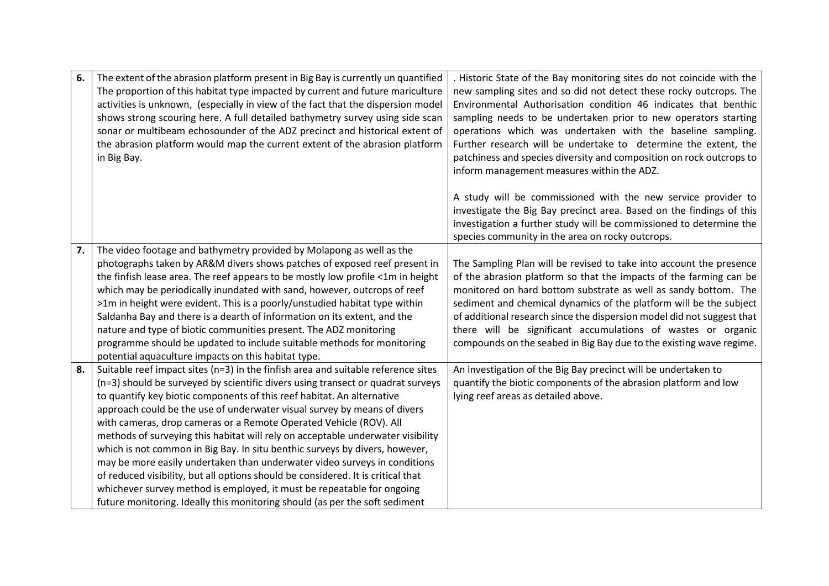| 6. | The extent of the abrasion platform present in Big Bay is currently un quantified     | . Historic State of the Bay monitoring sites do not coincide with the  |
|----|---------------------------------------------------------------------------------------|------------------------------------------------------------------------|
|    | The proportion of this habitat type impacted by current and future mariculture        | new sampling sites and so did not detect these rocky outcrops. The     |
|    | activities is unknown, (especially in view of the fact that the dispersion model      | Environmental Authorisation condition 46 indicates that benthic        |
|    | shows strong scouring here. A full detailed bathymetry survey using side scan         | sampling needs to be undertaken prior to new operators starting        |
|    | sonar or multibeam echosounder of the ADZ precinct and historical extent of           | operations which was undertaken with the baseline sampling.            |
|    | the abrasion platform would map the current extent of the abrasion platform           | Further research will be undertake to determine the extent, the        |
|    | in Big Bay.                                                                           | patchiness and species diversity and composition on rock outcrops to   |
|    |                                                                                       | inform management measures within the ADZ.                             |
|    |                                                                                       |                                                                        |
|    |                                                                                       | A study will be commissioned with the new service provider to          |
|    |                                                                                       | investigate the Big Bay precinct area. Based on the findings of this   |
|    |                                                                                       | investigation a further study will be commissioned to determine the    |
|    |                                                                                       | species community in the area on rocky outcrops.                       |
| 7. | The video footage and bathymetry provided by Molapong as well as the                  |                                                                        |
|    | photographs taken by AR&M divers shows patches of exposed reef present in             | The Sampling Plan will be revised to take into account the presence    |
|    | the finfish lease area. The reef appears to be mostly low profile <1m in height       | of the abrasion platform so that the impacts of the farming can be     |
|    | which may be periodically inundated with sand, however, outcrops of reef              | monitored on hard bottom substrate as well as sandy bottom. The        |
|    | >1m in height were evident. This is a poorly/unstudied habitat type within            | sediment and chemical dynamics of the platform will be the subject     |
|    | Saldanha Bay and there is a dearth of information on its extent, and the              | of additional research since the dispersion model did not suggest that |
|    | nature and type of biotic communities present. The ADZ monitoring                     | there will be significant accumulations of wastes or organic           |
|    | programme should be updated to include suitable methods for monitoring                | compounds on the seabed in Big Bay due to the existing wave regime.    |
|    | potential aquaculture impacts on this habitat type.                                   |                                                                        |
| 8. | Suitable reef impact sites ( $n=3$ ) in the finfish area and suitable reference sites | An investigation of the Big Bay precinct will be undertaken to         |
|    | (n=3) should be surveyed by scientific divers using transect or quadrat surveys       | quantify the biotic components of the abrasion platform and low        |
|    | to quantify key biotic components of this reef habitat. An alternative                | lying reef areas as detailed above.                                    |
|    | approach could be the use of underwater visual survey by means of divers              |                                                                        |
|    | with cameras, drop cameras or a Remote Operated Vehicle (ROV). All                    |                                                                        |
|    | methods of surveying this habitat will rely on acceptable underwater visibility       |                                                                        |
|    | which is not common in Big Bay. In situ benthic surveys by divers, however,           |                                                                        |
|    | may be more easily undertaken than underwater video surveys in conditions             |                                                                        |
|    | of reduced visibility, but all options should be considered. It is critical that      |                                                                        |
|    | whichever survey method is employed, it must be repeatable for ongoing                |                                                                        |
|    | future monitoring. Ideally this monitoring should (as per the soft sediment           |                                                                        |